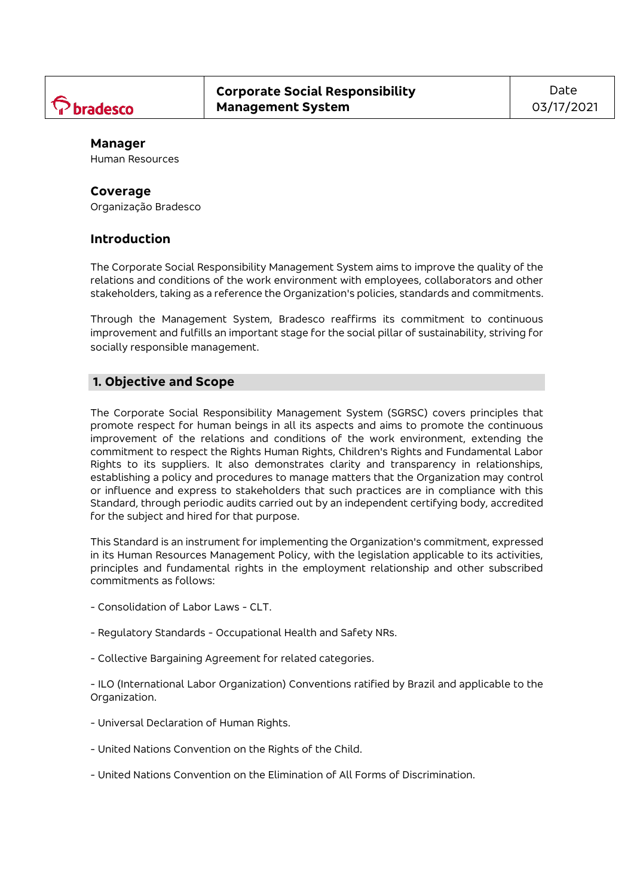

## **Manager**

Human Resources

#### **Coverage**

Organização Bradesco

## **Introduction**

The Corporate Social Responsibility Management System aims to improve the quality of the relations and conditions of the work environment with employees, collaborators and other stakeholders, taking as a reference the Organization's policies, standards and commitments.

Through the Management System, Bradesco reaffirms its commitment to continuous improvement and fulfills an important stage for the social pillar of sustainability, striving for socially responsible management.

## **1. Objective and Scope**

The Corporate Social Responsibility Management System (SGRSC) covers principles that promote respect for human beings in all its aspects and aims to promote the continuous improvement of the relations and conditions of the work environment, extending the commitment to respect the Rights Human Rights, Children's Rights and Fundamental Labor Rights to its suppliers. It also demonstrates clarity and transparency in relationships, establishing a policy and procedures to manage matters that the Organization may control or influence and express to stakeholders that such practices are in compliance with this Standard, through periodic audits carried out by an independent certifying body, accredited for the subject and hired for that purpose.

This Standard is an instrument for implementing the Organization's commitment, expressed in its Human Resources Management Policy, with the legislation applicable to its activities, principles and fundamental rights in the employment relationship and other subscribed commitments as follows:

- Consolidation of Labor Laws CLT.
- Regulatory Standards Occupational Health and Safety NRs.
- Collective Bargaining Agreement for related categories.

- ILO (International Labor Organization) Conventions ratified by Brazil and applicable to the Organization.

- Universal Declaration of Human Rights.
- United Nations Convention on the Rights of the Child.
- United Nations Convention on the Elimination of All Forms of Discrimination.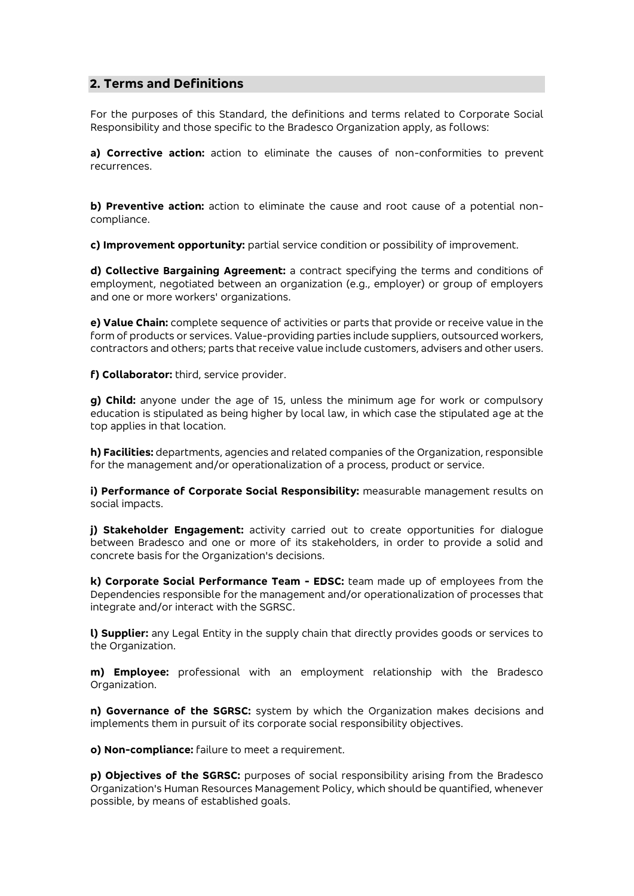# **2. Terms and Definitions**

For the purposes of this Standard, the definitions and terms related to Corporate Social Responsibility and those specific to the Bradesco Organization apply, as follows:

**a) Corrective action:** action to eliminate the causes of non-conformities to prevent recurrences.

**b) Preventive action:** action to eliminate the cause and root cause of a potential noncompliance.

**c) Improvement opportunity:** partial service condition or possibility of improvement.

**d) Collective Bargaining Agreement:** a contract specifying the terms and conditions of employment, negotiated between an organization (e.g., employer) or group of employers and one or more workers' organizations.

**e) Value Chain:** complete sequence of activities or parts that provide or receive value in the form of products or services. Value-providing parties include suppliers, outsourced workers, contractors and others; parts that receive value include customers, advisers and other users.

**f) Collaborator:** third, service provider.

**g) Child:** anyone under the age of 15, unless the minimum age for work or compulsory education is stipulated as being higher by local law, in which case the stipulated age at the top applies in that location.

**h) Facilities:** departments, agencies and related companies of the Organization, responsible for the management and/or operationalization of a process, product or service.

**i) Performance of Corporate Social Responsibility:** measurable management results on social impacts.

**j) Stakeholder Engagement:** activity carried out to create opportunities for dialogue between Bradesco and one or more of its stakeholders, in order to provide a solid and concrete basis for the Organization's decisions.

**k) Corporate Social Performance Team - EDSC:** team made up of employees from the Dependencies responsible for the management and/or operationalization of processes that integrate and/or interact with the SGRSC.

**l) Supplier:** any Legal Entity in the supply chain that directly provides goods or services to the Organization.

**m) Employee:** professional with an employment relationship with the Bradesco Organization.

**n) Governance of the SGRSC:** system by which the Organization makes decisions and implements them in pursuit of its corporate social responsibility objectives.

**o) Non-compliance:** failure to meet a requirement.

**p) Objectives of the SGRSC:** purposes of social responsibility arising from the Bradesco Organization's Human Resources Management Policy, which should be quantified, whenever possible, by means of established goals.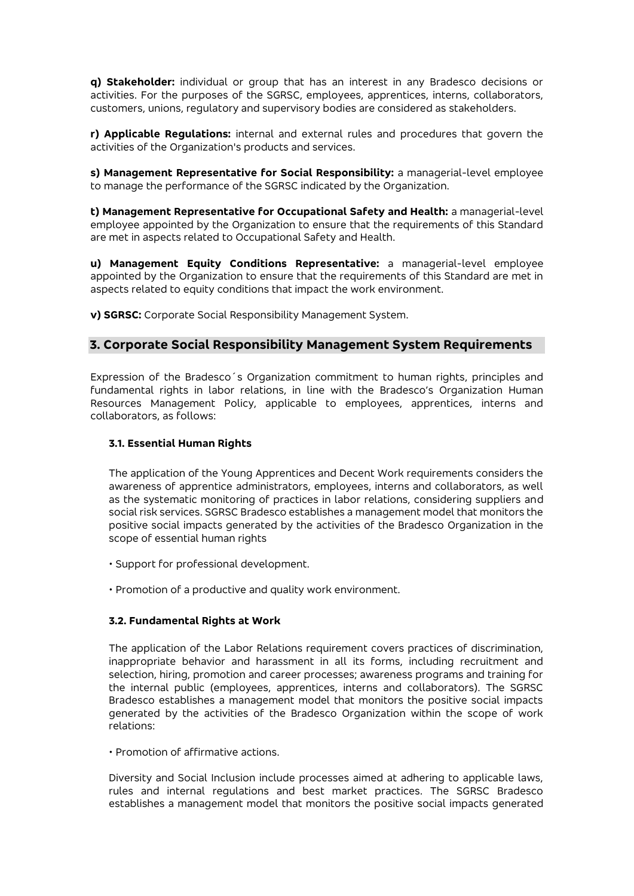**q) Stakeholder:** individual or group that has an interest in any Bradesco decisions or activities. For the purposes of the SGRSC, employees, apprentices, interns, collaborators, customers, unions, regulatory and supervisory bodies are considered as stakeholders.

**r) Applicable Regulations:** internal and external rules and procedures that govern the activities of the Organization's products and services.

**s) Management Representative for Social Responsibility:** a managerial-level employee to manage the performance of the SGRSC indicated by the Organization.

**t) Management Representative for Occupational Safety and Health:** a managerial-level employee appointed by the Organization to ensure that the requirements of this Standard are met in aspects related to Occupational Safety and Health.

**u) Management Equity Conditions Representative:** a managerial-level employee appointed by the Organization to ensure that the requirements of this Standard are met in aspects related to equity conditions that impact the work environment.

**v) SGRSC:** Corporate Social Responsibility Management System.

# **3. Corporate Social Responsibility Management System Requirements**

Expression of the Bradesco´s Organization commitment to human rights, principles and fundamental rights in labor relations, in line with the Bradesco's Organization Human Resources Management Policy, applicable to employees, apprentices, interns and collaborators, as follows:

## **3.1. Essential Human Rights**

The application of the Young Apprentices and Decent Work requirements considers the awareness of apprentice administrators, employees, interns and collaborators, as well as the systematic monitoring of practices in labor relations, considering suppliers and social risk services. SGRSC Bradesco establishes a management model that monitors the positive social impacts generated by the activities of the Bradesco Organization in the scope of essential human rights

- Support for professional development.
- Promotion of a productive and quality work environment.

## **3.2. Fundamental Rights at Work**

The application of the Labor Relations requirement covers practices of discrimination, inappropriate behavior and harassment in all its forms, including recruitment and selection, hiring, promotion and career processes; awareness programs and training for the internal public (employees, apprentices, interns and collaborators). The SGRSC Bradesco establishes a management model that monitors the positive social impacts generated by the activities of the Bradesco Organization within the scope of work relations:

• Promotion of affirmative actions.

Diversity and Social Inclusion include processes aimed at adhering to applicable laws, rules and internal regulations and best market practices. The SGRSC Bradesco establishes a management model that monitors the positive social impacts generated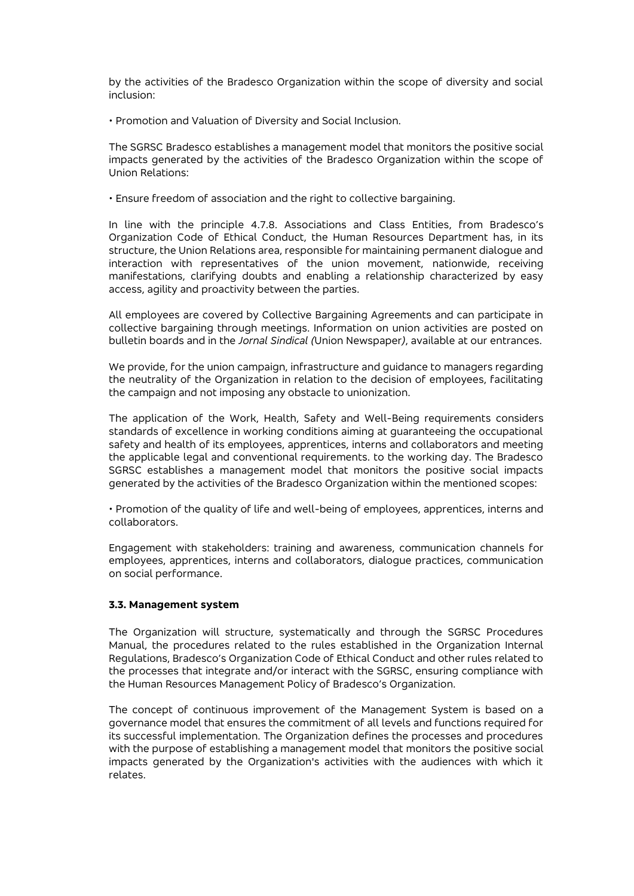by the activities of the Bradesco Organization within the scope of diversity and social inclusion:

• Promotion and Valuation of Diversity and Social Inclusion.

The SGRSC Bradesco establishes a management model that monitors the positive social impacts generated by the activities of the Bradesco Organization within the scope of Union Relations:

• Ensure freedom of association and the right to collective bargaining.

In line with the principle 4.7.8. Associations and Class Entities, from Bradesco's Organization Code of Ethical Conduct, the Human Resources Department has, in its structure, the Union Relations area, responsible for maintaining permanent dialogue and interaction with representatives of the union movement, nationwide, receiving manifestations, clarifying doubts and enabling a relationship characterized by easy access, agility and proactivity between the parties.

All employees are covered by Collective Bargaining Agreements and can participate in collective bargaining through meetings. Information on union activities are posted on bulletin boards and in the *Jornal Sindical (*Union Newspaper*)*, available at our entrances.

We provide, for the union campaign, infrastructure and guidance to managers regarding the neutrality of the Organization in relation to the decision of employees, facilitating the campaign and not imposing any obstacle to unionization.

The application of the Work, Health, Safety and Well-Being requirements considers standards of excellence in working conditions aiming at guaranteeing the occupational safety and health of its employees, apprentices, interns and collaborators and meeting the applicable legal and conventional requirements. to the working day. The Bradesco SGRSC establishes a management model that monitors the positive social impacts generated by the activities of the Bradesco Organization within the mentioned scopes:

• Promotion of the quality of life and well-being of employees, apprentices, interns and collaborators.

Engagement with stakeholders: training and awareness, communication channels for employees, apprentices, interns and collaborators, dialogue practices, communication on social performance.

## **3.3. Management system**

The Organization will structure, systematically and through the SGRSC Procedures Manual, the procedures related to the rules established in the Organization Internal Regulations, Bradesco's Organization Code of Ethical Conduct and other rules related to the processes that integrate and/or interact with the SGRSC, ensuring compliance with the Human Resources Management Policy of Bradesco's Organization.

The concept of continuous improvement of the Management System is based on a governance model that ensures the commitment of all levels and functions required for its successful implementation. The Organization defines the processes and procedures with the purpose of establishing a management model that monitors the positive social impacts generated by the Organization's activities with the audiences with which it relates.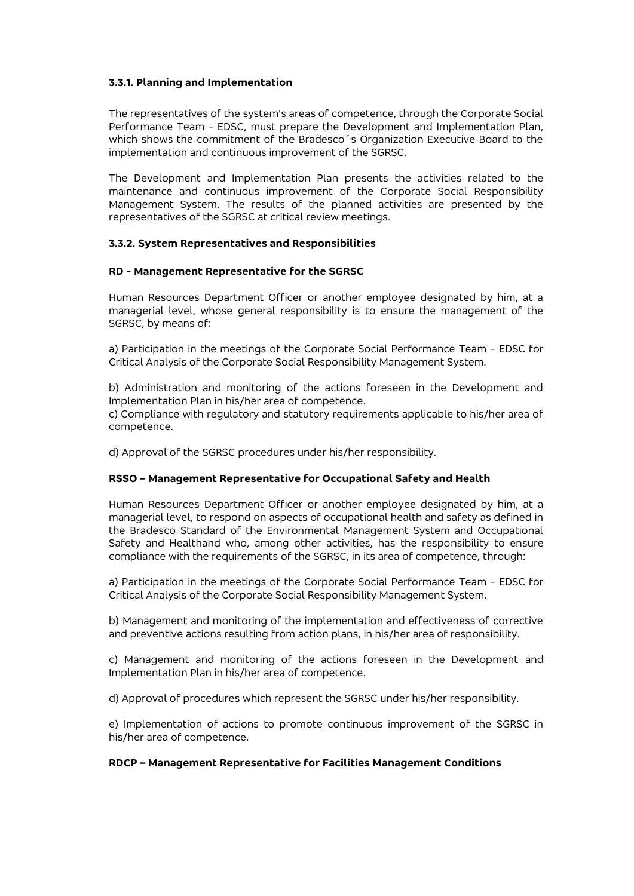#### **3.3.1. Planning and Implementation**

The representatives of the system's areas of competence, through the Corporate Social Performance Team - EDSC, must prepare the Development and Implementation Plan, which shows the commitment of the Bradesco´s Organization Executive Board to the implementation and continuous improvement of the SGRSC.

The Development and Implementation Plan presents the activities related to the maintenance and continuous improvement of the Corporate Social Responsibility Management System. The results of the planned activities are presented by the representatives of the SGRSC at critical review meetings.

#### **3.3.2. System Representatives and Responsibilities**

#### **RD - Management Representative for the SGRSC**

Human Resources Department Officer or another employee designated by him, at a managerial level, whose general responsibility is to ensure the management of the SGRSC, by means of:

a) Participation in the meetings of the Corporate Social Performance Team - EDSC for Critical Analysis of the Corporate Social Responsibility Management System.

b) Administration and monitoring of the actions foreseen in the Development and Implementation Plan in his/her area of competence.

c) Compliance with regulatory and statutory requirements applicable to his/her area of competence.

d) Approval of the SGRSC procedures under his/her responsibility.

#### **RSSO – Management Representative for Occupational Safety and Health**

Human Resources Department Officer or another employee designated by him, at a managerial level, to respond on aspects of occupational health and safety as defined in the Bradesco Standard of the Environmental Management System and Occupational Safety and Healthand who, among other activities, has the responsibility to ensure compliance with the requirements of the SGRSC, in its area of competence, through:

a) Participation in the meetings of the Corporate Social Performance Team - EDSC for Critical Analysis of the Corporate Social Responsibility Management System.

b) Management and monitoring of the implementation and effectiveness of corrective and preventive actions resulting from action plans, in his/her area of responsibility.

c) Management and monitoring of the actions foreseen in the Development and Implementation Plan in his/her area of competence.

d) Approval of procedures which represent the SGRSC under his/her responsibility.

e) Implementation of actions to promote continuous improvement of the SGRSC in his/her area of competence.

## **RDCP – Management Representative for Facilities Management Conditions**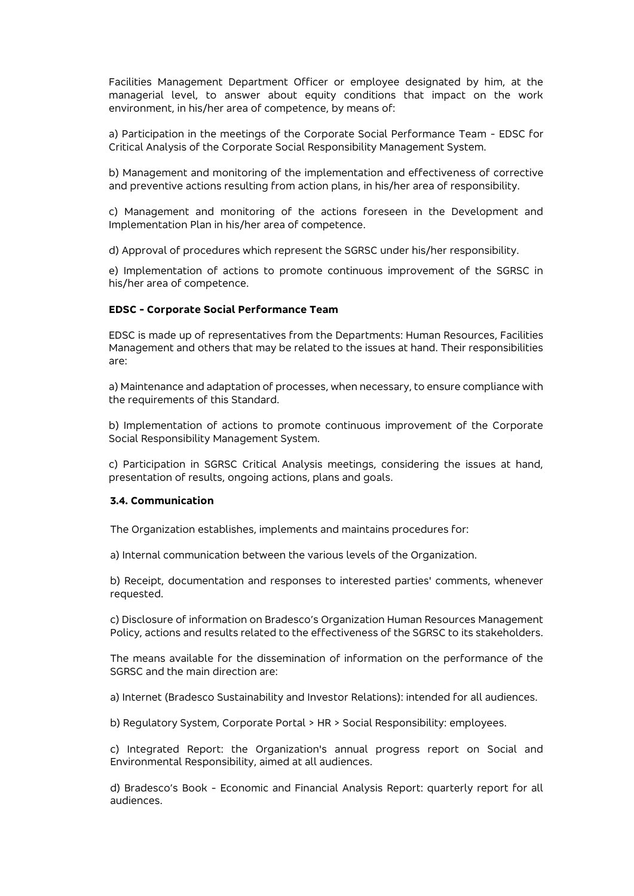Facilities Management Department Officer or employee designated by him, at the managerial level, to answer about equity conditions that impact on the work environment, in his/her area of competence, by means of:

a) Participation in the meetings of the Corporate Social Performance Team - EDSC for Critical Analysis of the Corporate Social Responsibility Management System.

b) Management and monitoring of the implementation and effectiveness of corrective and preventive actions resulting from action plans, in his/her area of responsibility.

c) Management and monitoring of the actions foreseen in the Development and Implementation Plan in his/her area of competence.

d) Approval of procedures which represent the SGRSC under his/her responsibility.

e) Implementation of actions to promote continuous improvement of the SGRSC in his/her area of competence.

#### **EDSC - Corporate Social Performance Team**

EDSC is made up of representatives from the Departments: Human Resources, Facilities Management and others that may be related to the issues at hand. Their responsibilities are:

a) Maintenance and adaptation of processes, when necessary, to ensure compliance with the requirements of this Standard.

b) Implementation of actions to promote continuous improvement of the Corporate Social Responsibility Management System.

c) Participation in SGRSC Critical Analysis meetings, considering the issues at hand, presentation of results, ongoing actions, plans and goals.

#### **3.4. Communication**

The Organization establishes, implements and maintains procedures for:

a) Internal communication between the various levels of the Organization.

b) Receipt, documentation and responses to interested parties' comments, whenever requested.

c) Disclosure of information on Bradesco's Organization Human Resources Management Policy, actions and results related to the effectiveness of the SGRSC to its stakeholders.

The means available for the dissemination of information on the performance of the SGRSC and the main direction are:

a) Internet (Bradesco Sustainability and Investor Relations): intended for all audiences.

b) Regulatory System, Corporate Portal > HR > Social Responsibility: employees.

c) Integrated Report: the Organization's annual progress report on Social and Environmental Responsibility, aimed at all audiences.

d) Bradesco's Book - Economic and Financial Analysis Report: quarterly report for all audiences.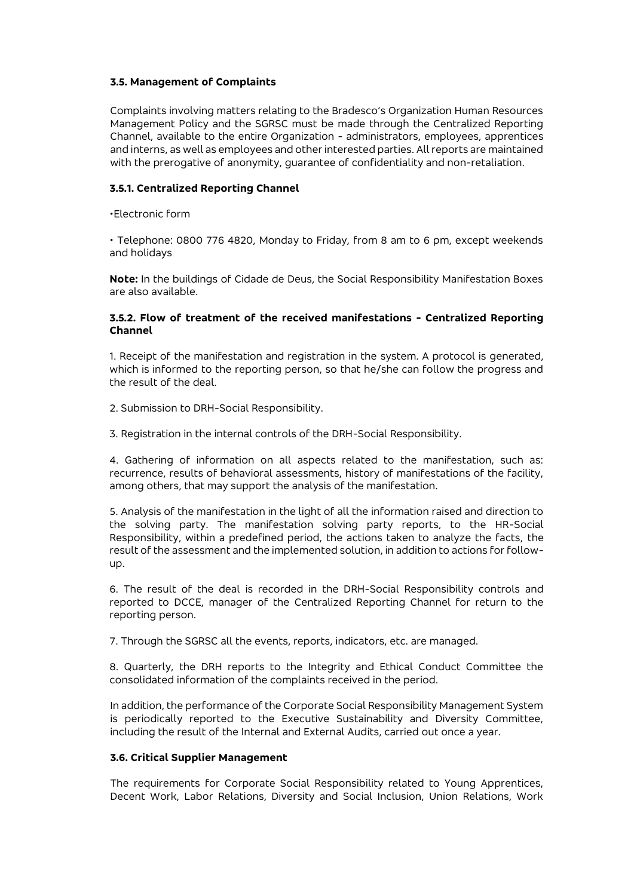#### **3.5. Management of Complaints**

Complaints involving matters relating to the Bradesco's Organization Human Resources Management Policy and the SGRSC must be made through the Centralized Reporting Channel, available to the entire Organization - administrators, employees, apprentices and interns, as well as employees and other interested parties. All reports are maintained with the prerogative of anonymity, guarantee of confidentiality and non-retaliation.

#### **3.5.1. Centralized Reporting Channel**

•Electronic form

• Telephone: 0800 776 4820, Monday to Friday, from 8 am to 6 pm, except weekends and holidays

**Note:** In the buildings of Cidade de Deus, the Social Responsibility Manifestation Boxes are also available.

#### **3.5.2. Flow of treatment of the received manifestations - Centralized Reporting Channel**

1. Receipt of the manifestation and registration in the system. A protocol is generated, which is informed to the reporting person, so that he/she can follow the progress and the result of the deal.

2. Submission to DRH-Social Responsibility.

3. Registration in the internal controls of the DRH-Social Responsibility.

4. Gathering of information on all aspects related to the manifestation, such as: recurrence, results of behavioral assessments, history of manifestations of the facility, among others, that may support the analysis of the manifestation.

5. Analysis of the manifestation in the light of all the information raised and direction to the solving party. The manifestation solving party reports, to the HR-Social Responsibility, within a predefined period, the actions taken to analyze the facts, the result of the assessment and the implemented solution, in addition to actions for followup.

6. The result of the deal is recorded in the DRH-Social Responsibility controls and reported to DCCE, manager of the Centralized Reporting Channel for return to the reporting person.

7. Through the SGRSC all the events, reports, indicators, etc. are managed.

8. Quarterly, the DRH reports to the Integrity and Ethical Conduct Committee the consolidated information of the complaints received in the period.

In addition, the performance of the Corporate Social Responsibility Management System is periodically reported to the Executive Sustainability and Diversity Committee, including the result of the Internal and External Audits, carried out once a year.

## **3.6. Critical Supplier Management**

The requirements for Corporate Social Responsibility related to Young Apprentices, Decent Work, Labor Relations, Diversity and Social Inclusion, Union Relations, Work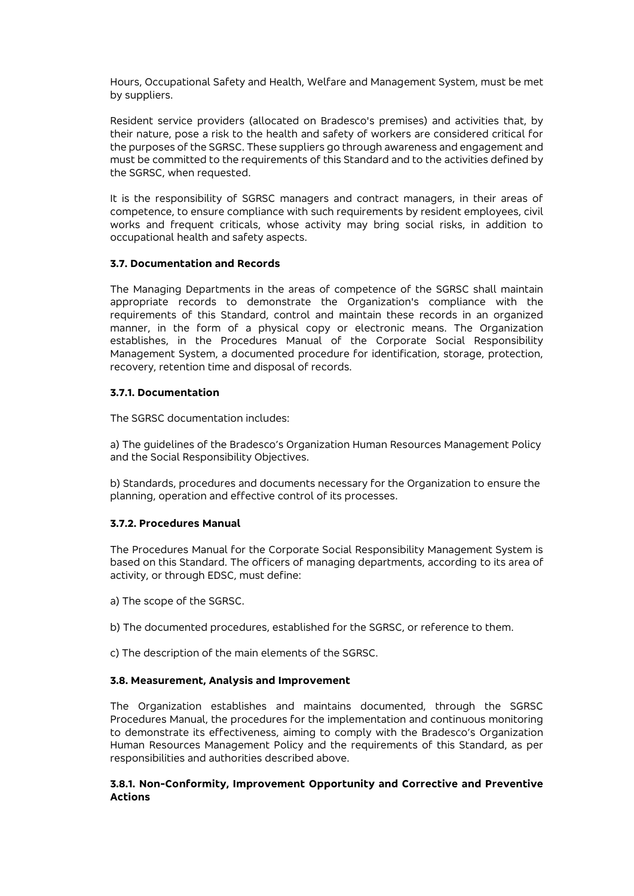Hours, Occupational Safety and Health, Welfare and Management System, must be met by suppliers.

Resident service providers (allocated on Bradesco's premises) and activities that, by their nature, pose a risk to the health and safety of workers are considered critical for the purposes of the SGRSC. These suppliers go through awareness and engagement and must be committed to the requirements of this Standard and to the activities defined by the SGRSC, when requested.

It is the responsibility of SGRSC managers and contract managers, in their areas of competence, to ensure compliance with such requirements by resident employees, civil works and frequent criticals, whose activity may bring social risks, in addition to occupational health and safety aspects.

## **3.7. Documentation and Records**

The Managing Departments in the areas of competence of the SGRSC shall maintain appropriate records to demonstrate the Organization's compliance with the requirements of this Standard, control and maintain these records in an organized manner, in the form of a physical copy or electronic means. The Organization establishes, in the Procedures Manual of the Corporate Social Responsibility Management System, a documented procedure for identification, storage, protection, recovery, retention time and disposal of records.

### **3.7.1. Documentation**

The SGRSC documentation includes:

a) The guidelines of the Bradesco's Organization Human Resources Management Policy and the Social Responsibility Objectives.

b) Standards, procedures and documents necessary for the Organization to ensure the planning, operation and effective control of its processes.

## **3.7.2. Procedures Manual**

The Procedures Manual for the Corporate Social Responsibility Management System is based on this Standard. The officers of managing departments, according to its area of activity, or through EDSC, must define:

a) The scope of the SGRSC.

- b) The documented procedures, established for the SGRSC, or reference to them.
- c) The description of the main elements of the SGRSC.

## **3.8. Measurement, Analysis and Improvement**

The Organization establishes and maintains documented, through the SGRSC Procedures Manual, the procedures for the implementation and continuous monitoring to demonstrate its effectiveness, aiming to comply with the Bradesco's Organization Human Resources Management Policy and the requirements of this Standard, as per responsibilities and authorities described above.

#### **3.8.1. Non-Conformity, Improvement Opportunity and Corrective and Preventive Actions**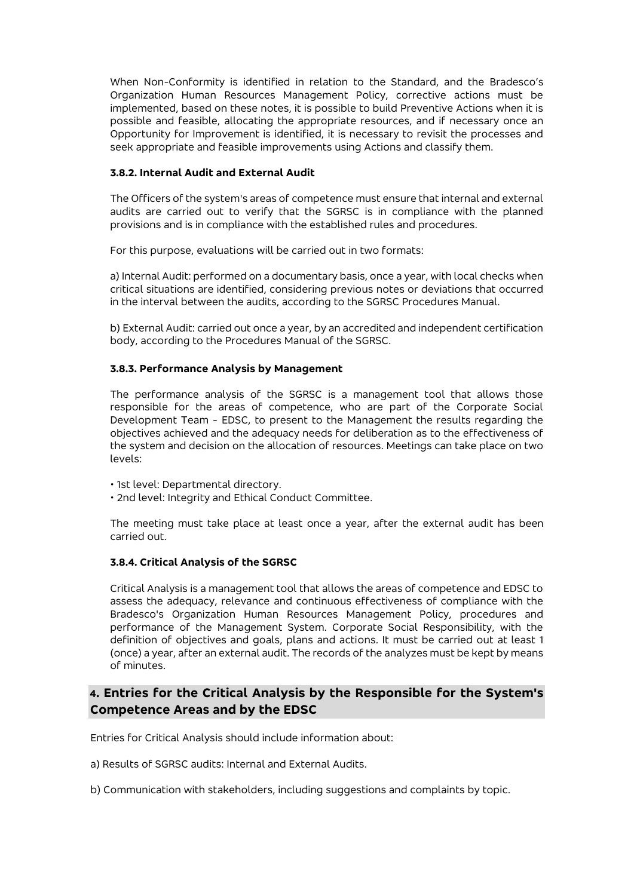When Non-Conformity is identified in relation to the Standard, and the Bradesco's Organization Human Resources Management Policy, corrective actions must be implemented, based on these notes, it is possible to build Preventive Actions when it is possible and feasible, allocating the appropriate resources, and if necessary once an Opportunity for Improvement is identified, it is necessary to revisit the processes and seek appropriate and feasible improvements using Actions and classify them.

#### **3.8.2. Internal Audit and External Audit**

The Officers of the system's areas of competence must ensure that internal and external audits are carried out to verify that the SGRSC is in compliance with the planned provisions and is in compliance with the established rules and procedures.

For this purpose, evaluations will be carried out in two formats:

a) Internal Audit: performed on a documentary basis, once a year, with local checks when critical situations are identified, considering previous notes or deviations that occurred in the interval between the audits, according to the SGRSC Procedures Manual.

b) External Audit: carried out once a year, by an accredited and independent certification body, according to the Procedures Manual of the SGRSC.

## **3.8.3. Performance Analysis by Management**

The performance analysis of the SGRSC is a management tool that allows those responsible for the areas of competence, who are part of the Corporate Social Development Team - EDSC, to present to the Management the results regarding the objectives achieved and the adequacy needs for deliberation as to the effectiveness of the system and decision on the allocation of resources. Meetings can take place on two levels:

• 1st level: Departmental directory.

• 2nd level: Integrity and Ethical Conduct Committee.

The meeting must take place at least once a year, after the external audit has been carried out.

## **3.8.4. Critical Analysis of the SGRSC**

Critical Analysis is a management tool that allows the areas of competence and EDSC to assess the adequacy, relevance and continuous effectiveness of compliance with the Bradesco's Organization Human Resources Management Policy, procedures and performance of the Management System. Corporate Social Responsibility, with the definition of objectives and goals, plans and actions. It must be carried out at least 1 (once) a year, after an external audit. The records of the analyzes must be kept by means of minutes.

# **4. Entries for the Critical Analysis by the Responsible for the System's Competence Areas and by the EDSC**

Entries for Critical Analysis should include information about:

a) Results of SGRSC audits: Internal and External Audits.

b) Communication with stakeholders, including suggestions and complaints by topic.